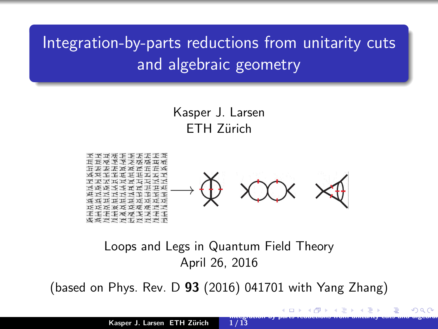# <span id="page-0-0"></span>Integration-by-parts reductions from unitarity cuts and algebraic geometry

Kasper J. Larsen ETH Zürich



#### Loops and Legs in Quantum Field Theory April 26, 2016

(based on Phys. Rev. D  $93$  (2016) 041701 with Yang Zhang)

**EXXXXXXXXX** 

Integration-by-parts reductions from unitarity cuts and algebraic  $1/13$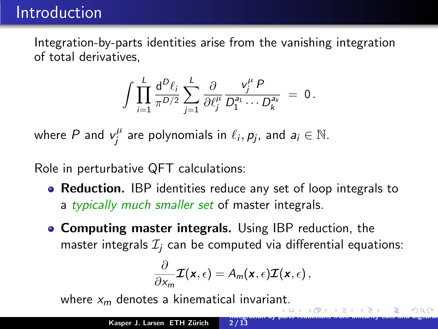<span id="page-1-0"></span>Integration-by-parts identities arise from the vanishing integration of total derivatives,

$$
\int \prod_{i=1}^L \frac{\mathrm{d}^D \ell_i}{\pi^{D/2}} \sum_{j=1}^L \frac{\partial}{\partial \ell_j^{\mu}} \frac{v_j^{\mu} P}{D_1^{a_1} \cdots D_k^{a_k}} = 0.
$$

where  $P$  and  $v_i^{\mu}$  $j^{\mu}$  are polynomials in  $\ell_i, p_j$ , and  $a_i \in \mathbb{N}$ .

Role in perturbative QFT calculations:

- **Reduction.** IBP identities reduce any set of loop integrals to a typically much smaller set of master integrals.
- **Computing master integrals.** Using IBP reduction, the master integrals  $\mathcal{I}_i$  can be computed via differential equations:

$$
\frac{\partial}{\partial x_m} \mathcal{I}(\mathbf{x}, \epsilon) = A_m(\mathbf{x}, \epsilon) \mathcal{I}(\mathbf{x}, \epsilon),
$$

where  $x_m$  denotes a kinematical invariant.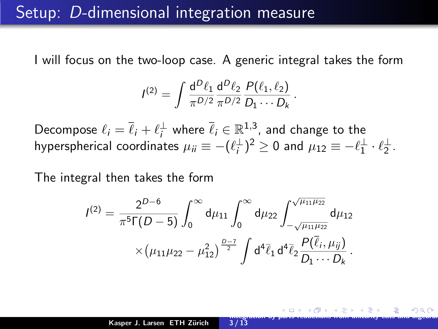#### <span id="page-2-0"></span>Setup: D-dimensional integration measure

I will focus on the two-loop case. A generic integral takes the form

$$
I^{(2)} = \int \frac{d^D \ell_1}{\pi^{D/2}} \frac{d^D \ell_2}{\pi^{D/2}} \frac{P(\ell_1, \ell_2)}{D_1 \cdots D_k}.
$$

Decompose  $\ell_i = \overline{\ell}_i + \ell_i^{\perp}$  where  $\overline{\ell}_i \in \mathbb{R}^{1,3}$ , and change to the hyperspherical coordinates  $\mu_{ii} \equiv -(\ell_i^\perp)^2 \geq 0$  and  $\mu_{12} \equiv -\ell_1^\perp \cdot \ell_2^\perp$ .

The integral then takes the form

$$
I^{(2)} = \frac{2^{D-6}}{\pi^5 \Gamma(D-5)} \int_0^\infty d\mu_{11} \int_0^\infty d\mu_{22} \int_{-\sqrt{\mu_{11}\mu_{22}}}^{\sqrt{\mu_{11}\mu_{22}}} d\mu_{12}
$$

$$
\times (\mu_{11}\mu_{22} - \mu_{12}^2)^{\frac{D-7}{2}} \int d^4 \bar{\ell}_1 d^4 \bar{\ell}_2 \frac{P(\bar{\ell}_i, \mu_{ij})}{D_1 \cdots D_k}.
$$

 $3/13$ 

Integration-by-parts reductions from unitarity cuts and algebraic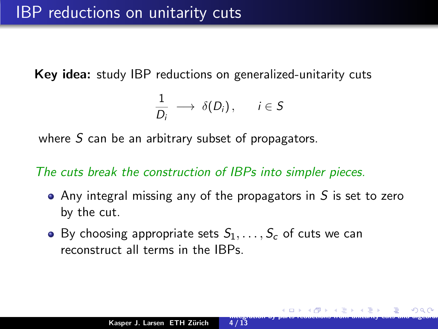<span id="page-3-0"></span>Key idea: study IBP reductions on generalized-unitarity cuts

$$
\frac{1}{D_i} \longrightarrow \delta(D_i), \quad i \in S
$$

where  $S$  can be an arbitrary subset of propagators.

The cuts break the construction of IBPs into simpler pieces.

 $\bullet$  Any integral missing any of the propagators in S is set to zero by the cut.

 $4/13$ 

Integration-by-parts reductions from unitarity cuts and algebraic

• By choosing appropriate sets  $S_1, \ldots, S_r$  of cuts we can reconstruct all terms in the IBPs.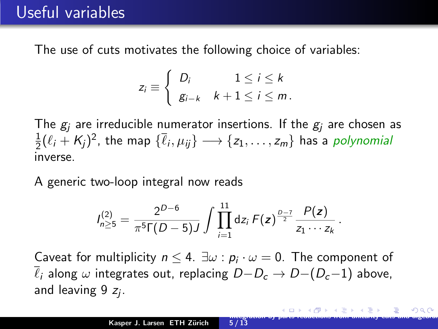<span id="page-4-0"></span>The use of cuts motivates the following choice of variables:

$$
z_i \equiv \begin{cases} D_i & 1 \leq i \leq k \\ g_{i-k} & k+1 \leq i \leq m. \end{cases}
$$

The  $g_i$  are irreducible numerator insertions. If the  $g_i$  are chosen as  $\overline{1}$  $\frac{1}{2}(\ell_i + \mathcal{K}_j)^2$ , the map  $\{\overline{\ell}_i, \mu_{ij}\} \longrightarrow \{z_1, \ldots, z_m\}$  has a *polynomial* inverse.

A generic two-loop integral now reads

$$
I_{n\geq 5}^{(2)} = \frac{2^{D-6}}{\pi^5 \Gamma(D-5) J} \int \prod_{i=1}^{11} dz_i \, F(z)^{\frac{D-7}{2}} \frac{P(z)}{z_1 \cdots z_k}.
$$

Caveat for multiplicity  $n \leq 4$ .  $\exists \omega : p_i \cdot \omega = 0$ . The component of  $\overline{\ell}_i$  along  $\omega$  integrates out, replacing  $D-D_c \rightarrow D-(D_c-1)$  above, and leaving  $9z_j$ .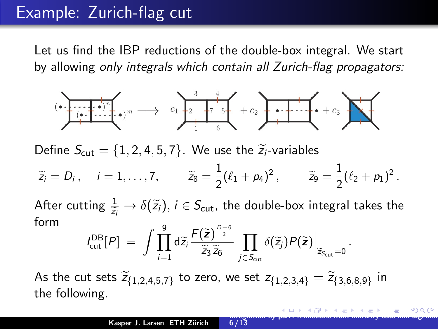### <span id="page-5-0"></span>Example: Zurich-flag cut

Let us find the IBP reductions of the double-box integral. We start by allowing only integrals which contain all Zurich-flag propagators:



Define  $S_{\text{cut}} = \{1, 2, 4, 5, 7\}$ . We use the  $\tilde{z}_i$ -variables

$$
\widetilde{z}_i = D_i
$$
,  $i = 1,...,7$ ,  $\widetilde{z}_8 = \frac{1}{2}(\ell_1 + p_4)^2$ ,  $\widetilde{z}_9 = \frac{1}{2}(\ell_2 + p_1)^2$ .

After cutting  $\frac{1}{\widetilde{z}_i} \to \delta(\widetilde{z}_i),$   $i \in S_{\text{cut}}$ , the double-box integral takes the form

$$
I_{\text{cut}}^{\text{DB}}[P] = \int \prod_{i=1}^{9} d\widetilde{z}_{i} \frac{F(\widetilde{z})^{\frac{D-6}{2}}}{\widetilde{z}_{3} \widetilde{z}_{6}} \prod_{j \in S_{\text{cut}}} \delta(\widetilde{z}_{j}) P(\widetilde{z}) \Big|_{\widetilde{z}_{S_{\text{cut}}} = 0}
$$

As the cut sets  $\widetilde{z}_{\{1,2,4,5,7\}}$  to zero, we set  $z_{\{1,2,3,4\}} = \widetilde{z}_{\{3,6,8,9\}}$  in the following.

.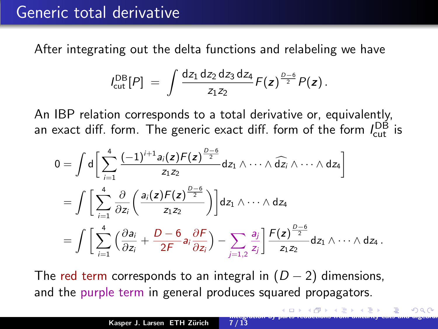#### <span id="page-6-0"></span>Generic total derivative

After integrating out the delta functions and relabeling we have

$$
I_{\text{cut}}^{\text{DB}}[P] = \int \frac{dz_1 dz_2 dz_3 dz_4}{z_1 z_2} F(z)^{\frac{D-6}{2}} P(z).
$$

An IBP relation corresponds to a total derivative or, equivalently, an exact diff. form. The generic exact diff. form of the form  $I_{\rm cut}^{\rm DB}$  is

$$
0 = \int d\left[\sum_{i=1}^{4} \frac{(-1)^{i+1} a_i(z) F(z)^{\frac{D-6}{2}}}{z_1 z_2} dz_1 \wedge \cdots \wedge \widehat{dz_i} \wedge \cdots \wedge dz_4\right]
$$
  
= 
$$
\int \left[\sum_{i=1}^{4} \frac{\partial}{\partial z_i} \left(\frac{a_i(z) F(z)^{\frac{D-6}{2}}}{z_1 z_2}\right)\right] dz_1 \wedge \cdots \wedge dz_4
$$
  
= 
$$
\int \left[\sum_{i=1}^{4} \left(\frac{\partial a_i}{\partial z_i} + \frac{D-6}{2F} a_i \frac{\partial F}{\partial z_i}\right) - \sum_{j=1,2} \frac{a_j}{z_j}\right] \frac{F(z)^{\frac{D-6}{2}}}{z_1 z_2} dz_1 \wedge \cdots \wedge dz_4.
$$

The red term corresponds to an integral in  $(D-2)$  dimensions, and the purple term in general produces squared propagators.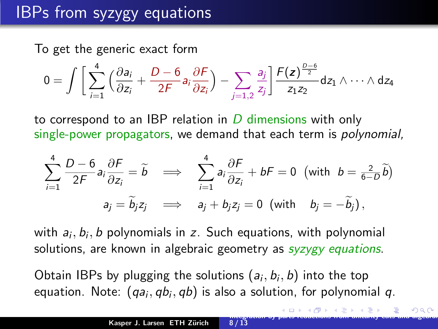# <span id="page-7-0"></span>IBPs from syzygy equations

To get the generic exact form

$$
0=\int\bigg[\sum_{i=1}^4\Big(\frac{\partial a_i}{\partial z_i}+\frac{D-6}{2F}a_i\frac{\partial F}{\partial z_i}\Big)-\sum_{j=1,2}\frac{a_j}{z_j}\bigg]\frac{F(z)^{\frac{D-6}{2}}}{z_1z_2}dz_1\wedge\cdots\wedge dz_4
$$

to correspond to an IBP relation in  $D$  dimensions with only single-power propagators, we demand that each term is *polynomial*,

$$
\sum_{i=1}^{4} \frac{D-6}{2F} a_i \frac{\partial F}{\partial z_i} = \widetilde{b} \implies \sum_{i=1}^{4} a_i \frac{\partial F}{\partial z_i} + bF = 0 \text{ (with } b = \frac{2}{6-D} \widetilde{b})
$$
  

$$
a_j = \widetilde{b}_j z_j \implies a_j + b_j z_j = 0 \text{ (with } b_j = -\widetilde{b}_j),
$$

with  $a_i, b_i, b$  polynomials in  $z$ . Such equations, with polynomial solutions, are known in algebraic geometry as *syzygy equations*.

Obtain IBPs by plugging the solutions  $(a_i, b_i, b)$  into the top equation. Note:  $\left(q a_{i},q b_{i},q b\right)$  is also a solution, for polynomial  $q.$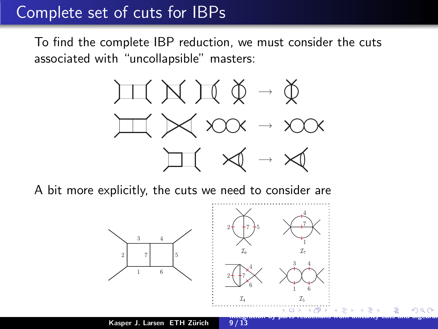### <span id="page-8-0"></span>Complete set of cuts for IBPs

To find the complete IBP reduction, we must consider the cuts associated with "uncollapsible" masters:



A bit more explicitly, the cuts we need to consider are

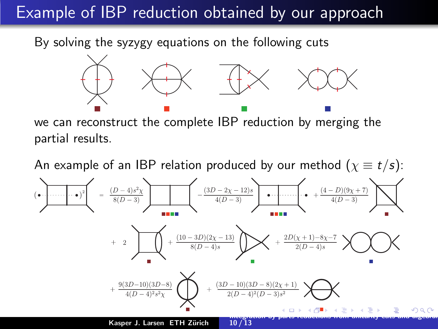# <span id="page-9-0"></span>**Example of IBP reduction obtained by our approach**

By solving the syzygy equations on the following cuts



we can reconstruct the complete IBP reduction by merging the partial results.

An example of an IBP relation produced by our method  $(\chi \equiv t/s)$ :

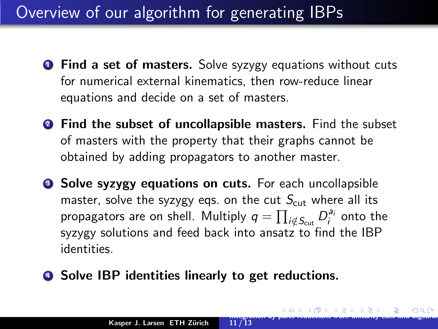# <span id="page-10-0"></span>Overview of our algorithm for generating IBPs

- **1** Find a set of masters. Solve syzygy equations without cuts for numerical external kinematics, then row-reduce linear equations and decide on a set of masters.
- **2** Find the subset of uncollapsible masters. Find the subset of masters with the property that their graphs cannot be obtained by adding propagators to another master.
- **3 Solve syzygy equations on cuts.** For each uncollapsible master, solve the syzygy eqs. on the cut  $S_{\text{cut}}$  where all its propagators are on shell. Multiply  $q = \prod_{i \notin S_\text{cut}} D_i^{a_i}$  onto the syzygy solutions and feed back into ansatz to find the IBP identities.

 $11 / 13$ 

Integration-by-parts reductions from unitarity cuts and algebraic

**4** Solve IBP identities linearly to get reductions.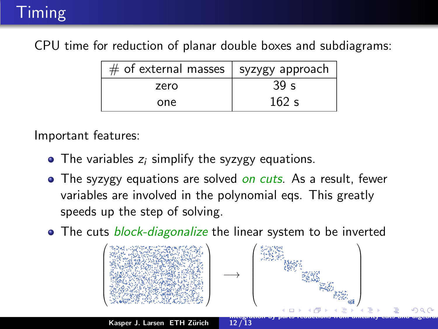# <span id="page-11-0"></span>Timing

CPU time for reduction of planar double boxes and subdiagrams:

| $#$ of external masses $ $ syzygy approach |                 |
|--------------------------------------------|-----------------|
| zero                                       | 39 <sub>s</sub> |
| one                                        | 162 s           |

Important features:

- $\bullet$  The variables  $z_i$  simplify the syzygy equations.
- The syzygy equations are solved on cuts. As a result, fewer variables are involved in the polynomial eqs. This greatly speeds up the step of solving.
- The cuts *block-diagonalize* the linear system to be inverted